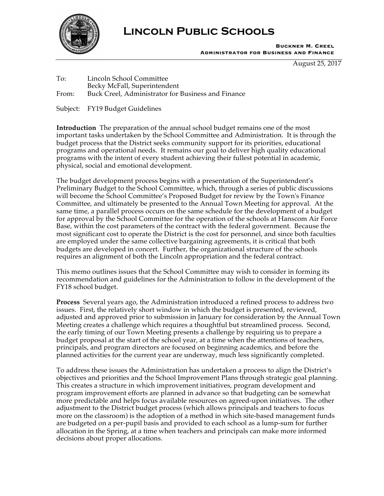

## **Lincoln Public Schools**

**Buckner M. Creel Administrator for Business and Finance**

August 25, 2017

To: Lincoln School Committee Becky McFall, Superintendent From: Buck Creel, Administrator for Business and Finance

Subject: FY19 Budget Guidelines

**Introduction** The preparation of the annual school budget remains one of the most important tasks undertaken by the School Committee and Administration. It is through the budget process that the District seeks community support for its priorities, educational programs and operational needs. It remains our goal to deliver high quality educational programs with the intent of every student achieving their fullest potential in academic, physical, social and emotional development.

The budget development process begins with a presentation of the Superintendent's Preliminary Budget to the School Committee, which, through a series of public discussions will become the School Committee's Proposed Budget for review by the Town's Finance Committee, and ultimately be presented to the Annual Town Meeting for approval. At the same time, a parallel process occurs on the same schedule for the development of a budget for approval by the School Committee for the operation of the schools at Hanscom Air Force Base, within the cost parameters of the contract with the federal government. Because the most significant cost to operate the District is the cost for personnel, and since both faculties are employed under the same collective bargaining agreements, it is critical that both budgets are developed in concert. Further, the organizational structure of the schools requires an alignment of both the Lincoln appropriation and the federal contract.

This memo outlines issues that the School Committee may wish to consider in forming its recommendation and guidelines for the Administration to follow in the development of the FY18 school budget.

**Process** Several years ago, the Administration introduced a refined process to address two issues. First, the relatively short window in which the budget is presented, reviewed, adjusted and approved prior to submission in January for consideration by the Annual Town Meeting creates a challenge which requires a thoughtful but streamlined process. Second, the early timing of our Town Meeting presents a challenge by requiring us to prepare a budget proposal at the start of the school year, at a time when the attentions of teachers, principals, and program directors are focused on beginning academics, and before the planned activities for the current year are underway, much less significantly completed.

To address these issues the Administration has undertaken a process to align the District's objectives and priorities and the School Improvement Plans through strategic goal planning. This creates a structure in which improvement initiatives, program development and program improvement efforts are planned in advance so that budgeting can be somewhat more predictable and helps focus available resources on agreed-upon initiatives. The other adjustment to the District budget process (which allows principals and teachers to focus more on the classroom) is the adoption of a method in which site-based management funds are budgeted on a per-pupil basis and provided to each school as a lump-sum for further allocation in the Spring, at a time when teachers and principals can make more informed decisions about proper allocations.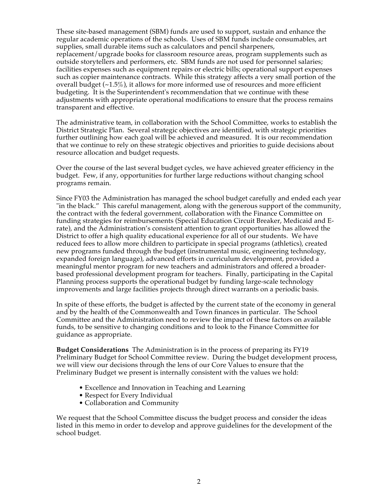These site-based management (SBM) funds are used to support, sustain and enhance the regular academic operations of the schools. Uses of SBM funds include consumables, art supplies, small durable items such as calculators and pencil sharpeners, replacement/upgrade books for classroom resource areas, program supplements such as outside storytellers and performers, etc. SBM funds are not used for personnel salaries; facilities expenses such as equipment repairs or electric bills; operational support expenses such as copier maintenance contracts. While this strategy affects a very small portion of the overall budget  $(-1.5\%)$ , it allows for more informed use of resources and more efficient budgeting. It is the Superintendent's recommendation that we continue with these adjustments with appropriate operational modifications to ensure that the process remains transparent and effective.

The administrative team, in collaboration with the School Committee, works to establish the District Strategic Plan. Several strategic objectives are identified, with strategic priorities further outlining how each goal will be achieved and measured. It is our recommendation that we continue to rely on these strategic objectives and priorities to guide decisions about resource allocation and budget requests.

Over the course of the last several budget cycles, we have achieved greater efficiency in the budget. Few, if any, opportunities for further large reductions without changing school programs remain.

Since FY03 the Administration has managed the school budget carefully and ended each year "in the black." This careful management, along with the generous support of the community, the contract with the federal government, collaboration with the Finance Committee on funding strategies for reimbursements (Special Education Circuit Breaker, Medicaid and Erate), and the Administration's consistent attention to grant opportunities has allowed the District to offer a high quality educational experience for all of our students. We have reduced fees to allow more children to participate in special programs (athletics), created new programs funded through the budget (instrumental music, engineering technology, expanded foreign language), advanced efforts in curriculum development, provided a meaningful mentor program for new teachers and administrators and offered a broaderbased professional development program for teachers. Finally, participating in the Capital Planning process supports the operational budget by funding large-scale technology improvements and large facilities projects through direct warrants on a periodic basis.

In spite of these efforts, the budget is affected by the current state of the economy in general and by the health of the Commonwealth and Town finances in particular. The School Committee and the Administration need to review the impact of these factors on available funds, to be sensitive to changing conditions and to look to the Finance Committee for guidance as appropriate.

**Budget Considerations** The Administration is in the process of preparing its FY19 Preliminary Budget for School Committee review. During the budget development process, we will view our decisions through the lens of our Core Values to ensure that the Preliminary Budget we present is internally consistent with the values we hold:

- Excellence and Innovation in Teaching and Learning
- Respect for Every Individual
- Collaboration and Community

We request that the School Committee discuss the budget process and consider the ideas listed in this memo in order to develop and approve guidelines for the development of the school budget.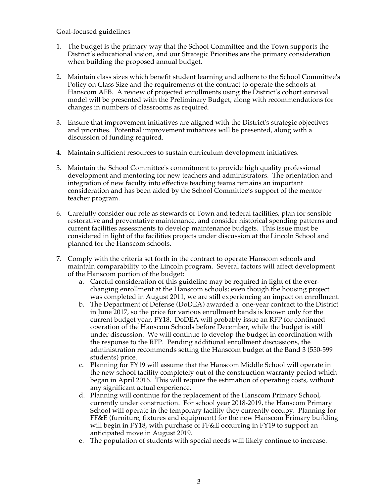#### Goal-focused guidelines

- 1. The budget is the primary way that the School Committee and the Town supports the District's educational vision, and our Strategic Priorities are the primary consideration when building the proposed annual budget.
- 2. Maintain class sizes which benefit student learning and adhere to the School Committee's Policy on Class Size and the requirements of the contract to operate the schools at Hanscom AFB. A review of projected enrollments using the District's cohort survival model will be presented with the Preliminary Budget, along with recommendations for changes in numbers of classrooms as required.
- 3. Ensure that improvement initiatives are aligned with the District's strategic objectives and priorities. Potential improvement initiatives will be presented, along with a discussion of funding required.
- 4. Maintain sufficient resources to sustain curriculum development initiatives.
- 5. Maintain the School Committee's commitment to provide high quality professional development and mentoring for new teachers and administrators. The orientation and integration of new faculty into effective teaching teams remains an important consideration and has been aided by the School Committee's support of the mentor teacher program.
- 6. Carefully consider our role as stewards of Town and federal facilities, plan for sensible restorative and preventative maintenance, and consider historical spending patterns and current facilities assessments to develop maintenance budgets. This issue must be considered in light of the facilities projects under discussion at the Lincoln School and planned for the Hanscom schools.
- 7. Comply with the criteria set forth in the contract to operate Hanscom schools and maintain comparability to the Lincoln program. Several factors will affect development of the Hanscom portion of the budget:
	- a. Careful consideration of this guideline may be required in light of the everchanging enrollment at the Hanscom schools; even though the housing project was completed in August 2011, we are still experiencing an impact on enrollment.
	- b. The Department of Defense (DoDEA) awarded a one-year contract to the District in June 2017, so the price for various enrollment bands is known only for the current budget year, FY18. DoDEA will probably issue an RFP for continued operation of the Hanscom Schools before December, while the budget is still under discussion. We will continue to develop the budget in coordination with the response to the RFP. Pending additional enrollment discussions, the administration recommends setting the Hanscom budget at the Band 3 (550-599 students) price.
	- c. Planning for FY19 will assume that the Hanscom Middle School will operate in the new school facility completely out of the construction warranty period which began in April 2016. This will require the estimation of operating costs, without any significant actual experience.
	- d. Planning will continue for the replacement of the Hanscom Primary School, currently under construction. For school year 2018-2019, the Hanscom Primary School will operate in the temporary facility they currently occupy. Planning for FF&E (furniture, fixtures and equipment) for the new Hanscom Primary building will begin in FY18, with purchase of FF&E occurring in FY19 to support an anticipated move in August 2019.
	- e. The population of students with special needs will likely continue to increase.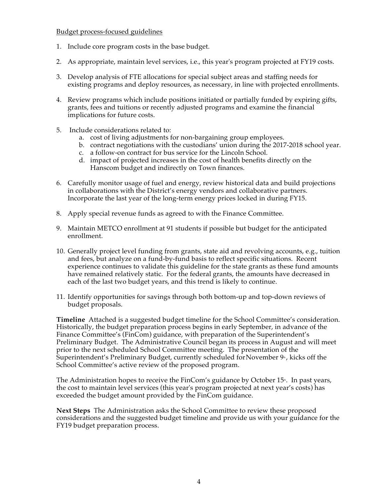#### Budget process-focused guidelines

- 1. Include core program costs in the base budget.
- 2. As appropriate, maintain level services, i.e., this year's program projected at FY19 costs.
- 3. Develop analysis of FTE allocations for special subject areas and staffing needs for existing programs and deploy resources, as necessary, in line with projected enrollments.
- 4. Review programs which include positions initiated or partially funded by expiring gifts, grants, fees and tuitions or recently adjusted programs and examine the financial implications for future costs.
- 5. Include considerations related to:
	- a. cost of living adjustments for non-bargaining group employees.
	- b. contract negotiations with the custodians' union during the 2017-2018 school year.
	- c. a follow-on contract for bus service for the Lincoln School.
	- d. impact of projected increases in the cost of health benefits directly on the Hanscom budget and indirectly on Town finances.
- 6. Carefully monitor usage of fuel and energy, review historical data and build projections in collaborations with the District's energy vendors and collaborative partners. Incorporate the last year of the long-term energy prices locked in during FY15.
- 8. Apply special revenue funds as agreed to with the Finance Committee.
- 9. Maintain METCO enrollment at 91 students if possible but budget for the anticipated enrollment.
- 10. Generally project level funding from grants, state aid and revolving accounts, e.g., tuition and fees, but analyze on a fund-by-fund basis to reflect specific situations. Recent experience continues to validate this guideline for the state grants as these fund amounts have remained relatively static. For the federal grants, the amounts have decreased in each of the last two budget years, and this trend is likely to continue.
- 11. Identify opportunities for savings through both bottom-up and top-down reviews of budget proposals.

**Timeline** Attached is a suggested budget timeline for the School Committee's consideration. Historically, the budget preparation process begins in early September, in advance of the Finance Committee's (FinCom) guidance, with preparation of the Superintendent's Preliminary Budget. The Administrative Council began its process in August and will meet prior to the next scheduled School Committee meeting. The presentation of the Superintendent's Preliminary Budget, currently scheduled for November  $9<sup>*</sup>$ , kicks off the School Committee's active review of the proposed program.

The Administration hopes to receive the FinCom's guidance by October  $15<sup>*</sup>$ . In past years, the cost to maintain level services (this year's program projected at next year's costs) has exceeded the budget amount provided by the FinCom guidance.

**Next Steps** The Administration asks the School Committee to review these proposed considerations and the suggested budget timeline and provide us with your guidance for the FY19 budget preparation process.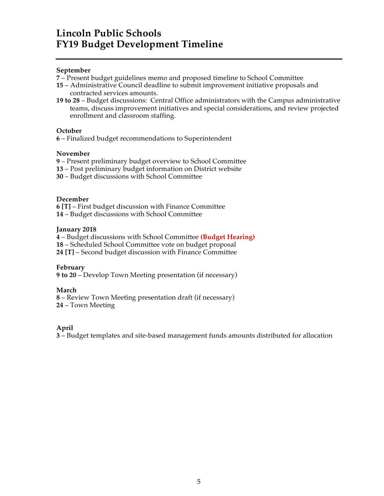### **Lincoln Public Schools FY19 Budget Development Timeline**

#### **September**

- **7** Present budget guidelines memo and proposed timeline to School Committee
- **15**  Administrative Council deadline to submit improvement initiative proposals and contracted services amounts.
- **19 to 28** Budget discussions: Central Office administrators with the Campus administrative teams, discuss improvement initiatives and special considerations, and review projected enrollment and classroom staffing.

#### **October**

**6** – Finalized budget recommendations to Superintendent

#### **November**

**9** – Present preliminary budget overview to School Committee

- **13** Post preliminary budget information on District website
- **30** Budget discussions with School Committee

#### **December**

**6 [T]** – First budget discussion with Finance Committee **14** – Budget discussions with School Committee

#### **January 2018**

**4** – Budget discussions with School Committee **(Budget Hearing)**

**18** – Scheduled School Committee vote on budget proposal

**24 [T]** – Second budget discussion with Finance Committee

#### **February**

**9 to 20** – Develop Town Meeting presentation (if necessary)

#### **March**

**8** – Review Town Meeting presentation draft (if necessary) **24** – Town Meeting

#### **April**

**3** – Budget templates and site-based management funds amounts distributed for allocation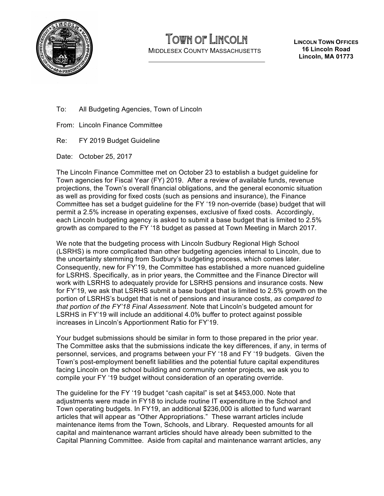

# TOWN OF LINCOLN

MIDDLESEX COUNTY MASSACHUSETTS

**LINCOLN TOWN OFFICES 16 Lincoln Road Lincoln, MA 01773**

- To: All Budgeting Agencies, Town of Lincoln
- From: Lincoln Finance Committee
- Re: FY 2019 Budget Guideline

Date: October 25, 2017

The Lincoln Finance Committee met on October 23 to establish a budget guideline for Town agencies for Fiscal Year (FY) 2019. After a review of available funds, revenue projections, the Town's overall financial obligations, and the general economic situation as well as providing for fixed costs (such as pensions and insurance), the Finance Committee has set a budget guideline for the FY '19 non-override (base) budget that will permit a 2.5% increase in operating expenses, exclusive of fixed costs. Accordingly, each Lincoln budgeting agency is asked to submit a base budget that is limited to 2.5% growth as compared to the FY '18 budget as passed at Town Meeting in March 2017.

We note that the budgeting process with Lincoln Sudbury Regional High School (LSRHS) is more complicated than other budgeting agencies internal to Lincoln, due to the uncertainty stemming from Sudbury's budgeting process, which comes later. Consequently, new for FY'19, the Committee has established a more nuanced guideline for LSRHS. Specifically, as in prior years, the Committee and the Finance Director will work with LSRHS to adequately provide for LSRHS pensions and insurance costs. New for FY'19, we ask that LSRHS submit a base budget that is limited to 2.5% growth on the portion of LSRHS's budget that is net of pensions and insurance costs, *as compared to that portion of the FY'18 Final Assessment*. Note that Lincoln's budgeted amount for LSRHS in FY'19 will include an additional 4.0% buffer to protect against possible increases in Lincoln's Apportionment Ratio for FY'19.

Your budget submissions should be similar in form to those prepared in the prior year. The Committee asks that the submissions indicate the key differences, if any, in terms of personnel, services, and programs between your FY '18 and FY '19 budgets. Given the Town's post-employment benefit liabilities and the potential future capital expenditures facing Lincoln on the school building and community center projects, we ask you to compile your FY '19 budget without consideration of an operating override.

The guideline for the FY '19 budget "cash capital" is set at \$453,000. Note that adjustments were made in FY18 to include routine IT expenditure in the School and Town operating budgets. In FY19, an additional \$236,000 is allotted to fund warrant articles that will appear as "Other Appropriations." These warrant articles include maintenance items from the Town, Schools, and Library. Requested amounts for all capital and maintenance warrant articles should have already been submitted to the Capital Planning Committee. Aside from capital and maintenance warrant articles, any